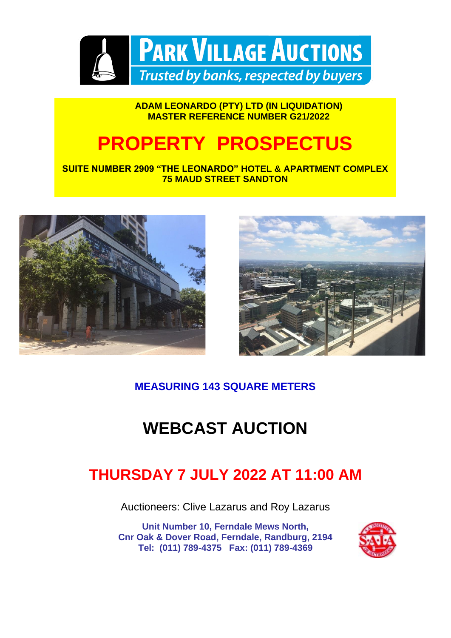

#### **ADAM LEONARDO (PTY) LTD (IN LIQUIDATION) MASTER REFERENCE NUMBER G21/2022**

### **PROPERTY PROSPECTUS**

**SUITE NUMBER 2909 "THE LEONARDO" HOTEL & APARTMENT COMPLEX 75 MAUD STREET SANDTON**





#### **MEASURING 143 SQUARE METERS**

### **WEBCAST AUCTION**

### **THURSDAY 7 JULY 2022 AT 11:00 AM**

Auctioneers: Clive Lazarus and Roy Lazarus

**Unit Number 10, Ferndale Mews North, Cnr Oak & Dover Road, Ferndale, Randburg, 2194 Tel: (011) 789-4375 Fax: (011) 789-4369**

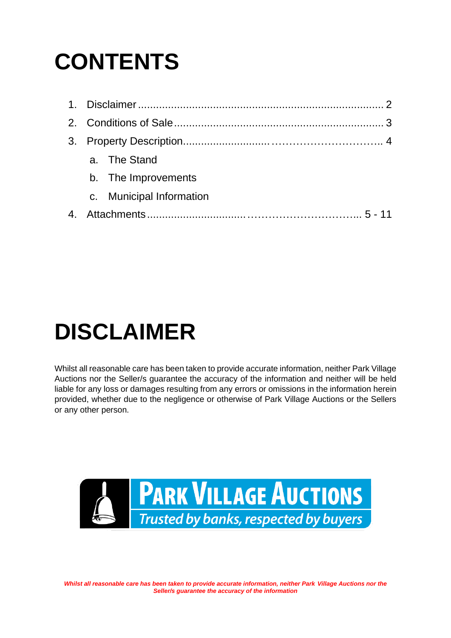# **CONTENTS**

|  | a. The Stand<br>b. The Improvements<br>c. Municipal Information |
|--|-----------------------------------------------------------------|

# **DISCLAIMER**

Whilst all reasonable care has been taken to provide accurate information, neither Park Village Auctions nor the Seller/s guarantee the accuracy of the information and neither will be held liable for any loss or damages resulting from any errors or omissions in the information herein provided, whether due to the negligence or otherwise of Park Village Auctions or the Sellers or any other person.

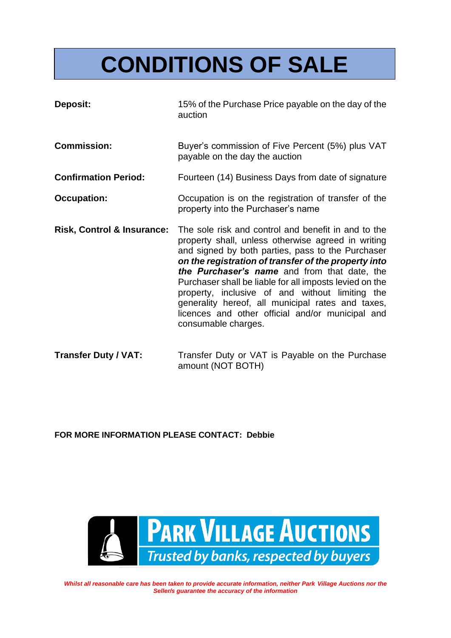# **CONDITIONS OF SALE**

- **Deposit:** 15% of the Purchase Price payable on the day of the auction
- **Commission:** Buyer's commission of Five Percent (5%) plus VAT payable on the day the auction
- **Confirmation Period:** Fourteen (14) Business Days from date of signature
- **Occupation:** Occupation is on the registration of transfer of the property into the Purchaser's name
- **Risk, Control & Insurance:** The sole risk and control and benefit in and to the property shall, unless otherwise agreed in writing and signed by both parties, pass to the Purchaser *on the registration of transfer of the property into the Purchaser's name* and from that date, the Purchaser shall be liable for all imposts levied on the property, inclusive of and without limiting the generality hereof, all municipal rates and taxes, licences and other official and/or municipal and consumable charges.
- **Transfer Duty / VAT:** Transfer Duty or VAT is Payable on the Purchase amount (NOT BOTH)

**FOR MORE INFORMATION PLEASE CONTACT: Debbie**

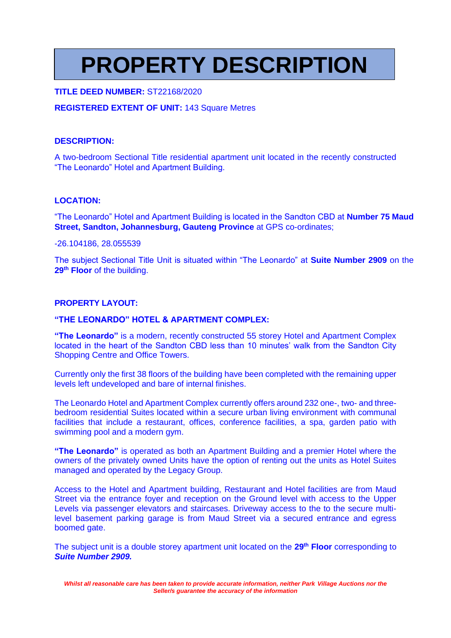## **PROPERTY DESCRIPTION**

#### **TITLE DEED NUMBER:** ST22168/2020

#### **REGISTERED EXTENT OF UNIT:** 143 Square Metres

#### **DESCRIPTION:**

A two-bedroom Sectional Title residential apartment unit located in the recently constructed "The Leonardo" Hotel and Apartment Building.

#### **LOCATION:**

"The Leonardo" Hotel and Apartment Building is located in the Sandton CBD at **Number 75 Maud Street, Sandton, Johannesburg, Gauteng Province** at GPS co-ordinates;

-26.104186, 28.055539

The subject Sectional Title Unit is situated within "The Leonardo" at **Suite Number 2909** on the **29th Floor** of the building.

#### **PROPERTY LAYOUT:**

#### **"THE LEONARDO" HOTEL & APARTMENT COMPLEX:**

**"The Leonardo"** is a modern, recently constructed 55 storey Hotel and Apartment Complex located in the heart of the Sandton CBD less than 10 minutes' walk from the Sandton City Shopping Centre and Office Towers.

Currently only the first 38 floors of the building have been completed with the remaining upper levels left undeveloped and bare of internal finishes.

The Leonardo Hotel and Apartment Complex currently offers around 232 one-, two- and threebedroom residential Suites located within a secure urban living environment with communal facilities that include a restaurant, offices, conference facilities, a spa, garden patio with swimming pool and a modern gym.

**"The Leonardo"** is operated as both an Apartment Building and a premier Hotel where the owners of the privately owned Units have the option of renting out the units as Hotel Suites managed and operated by the Legacy Group.

Access to the Hotel and Apartment building, Restaurant and Hotel facilities are from Maud Street via the entrance foyer and reception on the Ground level with access to the Upper Levels via passenger elevators and staircases. Driveway access to the to the secure multilevel basement parking garage is from Maud Street via a secured entrance and egress boomed gate.

The subject unit is a double storey apartment unit located on the **29th Floor** corresponding to *Suite Number 2909.*

*Whilst all reasonable care has been taken to provide accurate information, neither Park Village Auctions nor the Seller/s guarantee the accuracy of the information*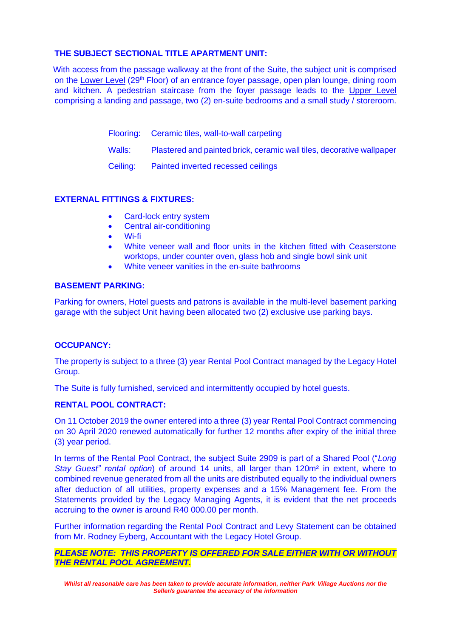#### **THE SUBJECT SECTIONAL TITLE APARTMENT UNIT:**

With access from the passage walkway at the front of the Suite, the subject unit is comprised on the Lower Level (29<sup>th</sup> Floor) of an entrance foyer passage, open plan lounge, dining room and kitchen. A pedestrian staircase from the foyer passage leads to the Upper Level comprising a landing and passage, two (2) en-suite bedrooms and a small study / storeroom.

- Flooring: Ceramic tiles, wall-to-wall carpeting
- Walls: Plastered and painted brick, ceramic wall tiles, decorative wallpaper
- Ceiling: Painted inverted recessed ceilings

#### **EXTERNAL FITTINGS & FIXTURES:**

- Card-lock entry system
- Central air-conditioning
- Wi-fi
- White veneer wall and floor units in the kitchen fitted with Ceaserstone worktops, under counter oven, glass hob and single bowl sink unit
- White veneer vanities in the en-suite bathrooms

#### **BASEMENT PARKING:**

Parking for owners, Hotel guests and patrons is available in the multi-level basement parking garage with the subject Unit having been allocated two (2) exclusive use parking bays.

#### **OCCUPANCY:**

The property is subject to a three (3) year Rental Pool Contract managed by the Legacy Hotel Group.

The Suite is fully furnished, serviced and intermittently occupied by hotel guests.

#### **RENTAL POOL CONTRACT:**

On 11 October 2019 the owner entered into a three (3) year Rental Pool Contract commencing on 30 April 2020 renewed automatically for further 12 months after expiry of the initial three (3) year period.

In terms of the Rental Pool Contract, the subject Suite 2909 is part of a Shared Pool ("*Long Stay Guest" rental option*) of around 14 units, all larger than 120m² in extent, where to combined revenue generated from all the units are distributed equally to the individual owners after deduction of all utilities, property expenses and a 15% Management fee. From the Statements provided by the Legacy Managing Agents, it is evident that the net proceeds accruing to the owner is around R40 000.00 per month.

Further information regarding the Rental Pool Contract and Levy Statement can be obtained from Mr. Rodney Eyberg, Accountant with the Legacy Hotel Group.

#### *PLEASE NOTE: THIS PROPERTY IS OFFERED FOR SALE EITHER WITH OR WITHOUT THE RENTAL POOL AGREEMENT.*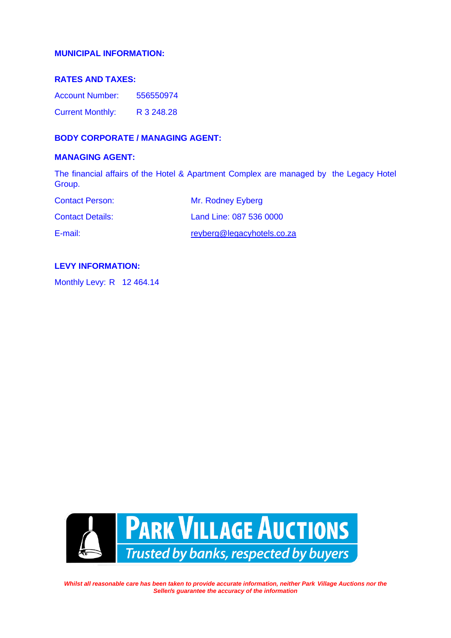#### **MUNICIPAL INFORMATION:**

#### **RATES AND TAXES:**

Account Number: 556550974 Current Monthly: R 3 248.28

#### **BODY CORPORATE / MANAGING AGENT:**

#### **MANAGING AGENT:**

The financial affairs of the Hotel & Apartment Complex are managed by the Legacy Hotel Group.

| <b>Contact Person:</b>  | Mr. Rodney Eyberg          |
|-------------------------|----------------------------|
| <b>Contact Details:</b> | Land Line: 087 536 0000    |
| E-mail:                 | reyberg@legacyhotels.co.za |

#### **LEVY INFORMATION:**

Monthly Levy: R 12 464.14

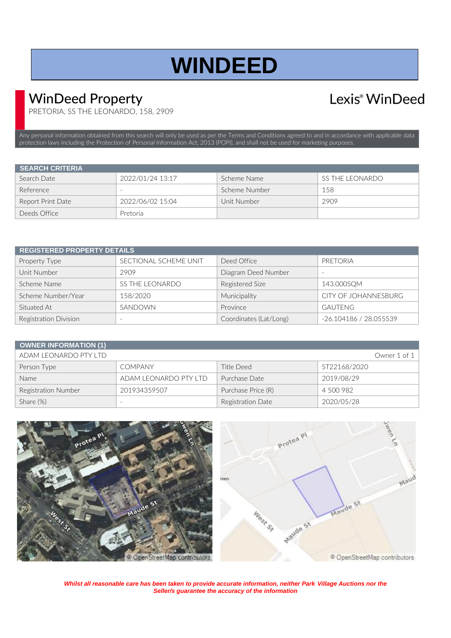## **WINDEED**

### WinDeed Property

### Lexis<sup>®</sup> WinDeed

PRETORIA, SS THE LEONARDO, 158, 2909

Any personal information obtained from this search will only be used as per th[e Terms and Conditions](https://www.windeed.co.za/windeed-terms-and-conditions/) agreed to and in accordance with applicable data protection laws including the Protection of Personal Information Act, 2013 (POPI), and shall not be used for marketing purposes.

| <b>SEARCH CRITERIA</b> |                  |               |                        |
|------------------------|------------------|---------------|------------------------|
| Search Date            | 2022/01/24 13:17 | Scheme Name   | <b>SS THE LEONARDO</b> |
| Reference              | -                | Scheme Number | 158                    |
| Report Print Date      | 2022/06/02 15:04 | Unit Number   | 2909                   |
| Deeds Office           | Pretoria         |               |                        |

| <b>REGISTERED PROPERTY DETAILS</b> |                        |                        |                          |  |
|------------------------------------|------------------------|------------------------|--------------------------|--|
| Property Type                      | SECTIONAL SCHEME UNIT  | Deed Office            | PRETORIA                 |  |
| Unit Number                        | 2909                   | Diagram Deed Number    | $\overline{\phantom{a}}$ |  |
| Scheme Name                        | <b>SS THE LEONARDO</b> | Registered Size        | 143.000SQM               |  |
| Scheme Number/Year                 | 158/2020               | Municipality           | CITY OF JOHANNESBURG     |  |
| Situated At                        | SANDOWN                | Province               | <b>GAUTENG</b>           |  |
| <b>Registration Division</b>       |                        | Coordinates (Lat/Long) | -26.104186 / 28.055539   |  |

| <b>OWNER INFORMATION (1)</b> |                          |                    |                     |
|------------------------------|--------------------------|--------------------|---------------------|
| ADAM LEONARDO PTY LTD        |                          |                    | Owner 1 of $1 \mid$ |
| Person Type                  | <b>COMPANY</b>           | Title Deed         | ST22168/2020        |
| Name                         | ADAM LEONARDO PTY LTD    | Purchase Date      | 2019/08/29          |
| Registration Number          | 201934359507             | Purchase Price (R) | 4 500 982           |
| Share $(\%)$                 | $\overline{\phantom{a}}$ | Registration Date  | 2020/05/28          |



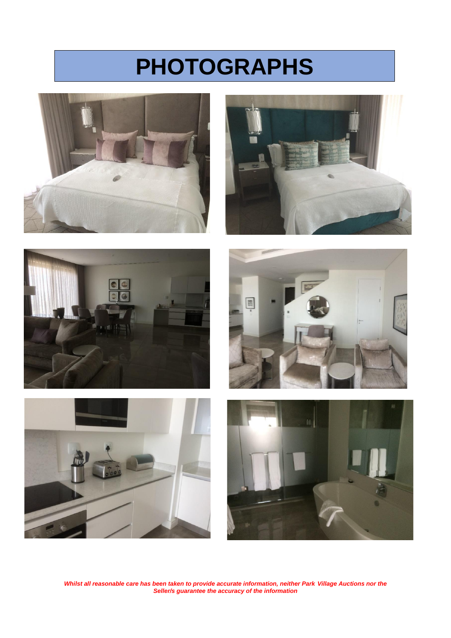## **PHOTOGRAPHS**